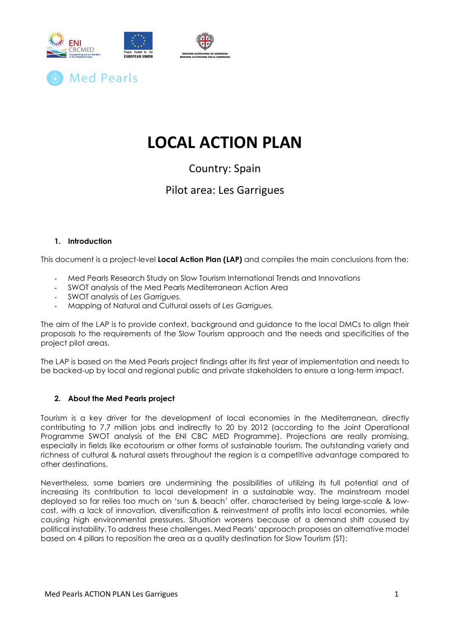

# LOCAL ACTION PLAN

### Country: Spain

### Pilot area: Les Garrigues

### 1. Introduction

This document is a project-level Local Action Plan (LAP) and compiles the main conclusions from the:

- Med Pearls Research Study on Slow Tourism International Trends and Innovations
- SWOT analysis of the Med Pearls Mediterranean Action Area
- SWOT analysis of Les Garrigues.
- Mapping of Natural and Cultural assets of Les Garrigues.

The aim of the LAP is to provide context, background and guidance to the local DMCs to align their proposals to the requirements of the Slow Tourism approach and the needs and specificities of the project pilot areas.

The LAP is based on the Med Pearls project findings after its first year of implementation and needs to be backed-up by local and regional public and private stakeholders to ensure a long-term impact.

### 2. About the Med Pearls project

Tourism is a key driver for the development of local economies in the Mediterranean, directly contributing to 7.7 million jobs and indirectly to 20 by 2012 (according to the Joint Operational Programme SWOT analysis of the ENI CBC MED Programme). Projections are really promising, especially in fields like ecotourism or other forms of sustainable tourism. The outstanding variety and richness of cultural & natural assets throughout the region is a competitive advantage compared to other destinations.

Nevertheless, some barriers are undermining the possibilities of utilizing its full potential and of increasing its contribution to local development in a sustainable way. The mainstream model deployed so far relies too much on 'sun & beach' offer, characterised by being large-scale & lowcost, with a lack of innovation, diversification & reinvestment of profits into local economies, while causing high environmental pressures. Situation worsens because of a demand shift caused by political instability. To address these challenges, Med Pearls' approach proposes an alternative model based on 4 pillars to reposition the area as a quality destination for Slow Tourism (ST):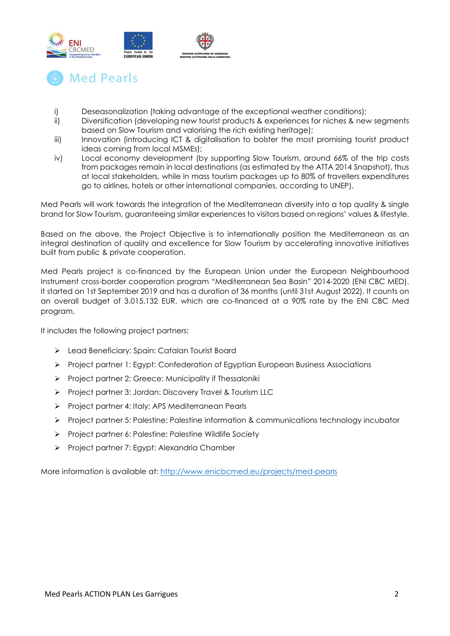



- i) Deseasonalization (taking advantage of the exceptional weather conditions);
- ii) Diversification (developing new tourist products & experiences for niches & new segments based on Slow Tourism and valorising the rich existing heritage);
- iii) Innovation (introducing ICT & digitalisation to bolster the most promising tourist product ideas coming from local MSMEs);
- iv) Local economy development (by supporting Slow Tourism, around 66% of the trip costs from packages remain in local destinations (as estimated by the ATTA 2014 Snapshot), thus at local stakeholders, while in mass tourism packages up to 80% of travellers expenditures go to airlines, hotels or other international companies, according to UNEP).

Med Pearls will work towards the integration of the Mediterranean diversity into a top quality & single brand for Slow Tourism, guaranteeing similar experiences to visitors based on regions' values & lifestyle.

Based on the above, the Project Objective is to internationally position the Mediterranean as an integral destination of quality and excellence for Slow Tourism by accelerating innovative initiatives built from public & private cooperation.

Med Pearls project is co-financed by the European Union under the European Neighbourhood Instrument cross-border cooperation program "Mediterranean Sea Basin" 2014-2020 (ENI CBC MED). It started on 1st September 2019 and has a duration of 36 months (until 31st August 2022). It counts on an overall budget of 3.015.132 EUR, which are co-financed at a 90% rate by the ENI CBC Med program.

It includes the following project partners:

- Lead Beneficiary: Spain: Catalan Tourist Board
- Project partner 1: Egypt: Confederation of Egyptian European Business Associations
- Project partner 2: Greece: Municipality if Thessaloniki
- Project partner 3: Jordan: Discovery Travel & Tourism LLC
- Project partner 4: Italy: APS Mediterranean Pearls
- Project partner 5: Palestine: Palestine information & communications technology incubator
- Project partner 6: Palestine: Palestine Wildlife Society
- Project partner 7: Egypt: Alexandria Chamber

More information is available at: http://www.enicbcmed.eu/projects/med-pearls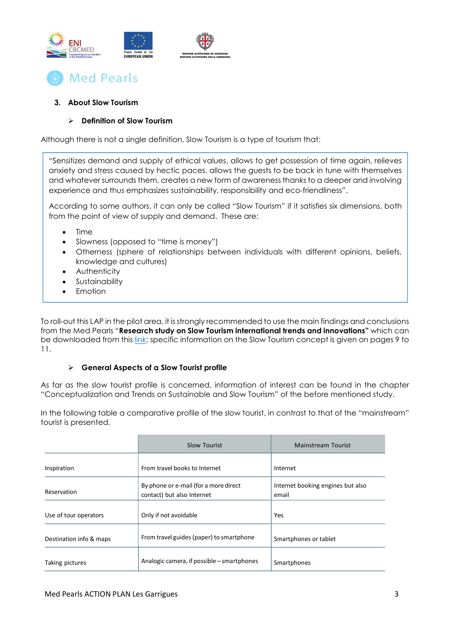



### 3. About Slow Tourism

### $\triangleright$  Definition of Slow Tourism

Although there is not a single definition, Slow Tourism is a type of tourism that:

"Sensitizes demand and supply of ethical values, allows to get possession of time again, relieves anxiety and stress caused by hectic paces, allows the guests to be back in tune with themselves and whatever surrounds them, creates a new form of awareness thanks to a deeper and involving experience and thus emphasizes sustainability, responsibility and eco-friendliness".

According to some authors, it can only be called "Slow Tourism" if it satisfies six dimensions, both from the point of view of supply and demand. These are:

- Time
- Slowness (opposed to "time is money")
- Otherness (sphere of relationships between individuals with different opinions, beliefs, knowledge and cultures)
- Authenticity
- Sustainability
- Emotion

To roll-out this LAP in the pilot area, it is strongly recommended to use the main findings and conclusions from the Med Pearls "Research study on Slow Tourism international trends and innovations" which can be downloaded from this link; specific information on the Slow Tourism concept is given on pages 9 to 11.

### $\triangleright$  General Aspects of a Slow Tourist profile

As far as the slow tourist profile is concerned, information of interest can be found in the chapter "Conceptualization and Trends on Sustainable and Slow Tourism" of the before mentioned study.

In the following table a comparative profile of the slow tourist, in contrast to that of the "mainstream" tourist is presented.

|                         | Slow Tourist                                                        | Mainstream Tourist                         |
|-------------------------|---------------------------------------------------------------------|--------------------------------------------|
| Inspiration             | From travel books to Internet                                       | Internet                                   |
| Reservation             | By phone or e-mail (for a more direct<br>contact) but also Internet | Internet booking engines but also<br>email |
| Use of tour operators   | Only if not avoidable                                               | <b>Yes</b>                                 |
| Destination info & maps | From travel guides (paper) to smartphone                            | Smartphones or tablet                      |
| Taking pictures         | Analogic camera, if possible – smartphones                          | Smartphones                                |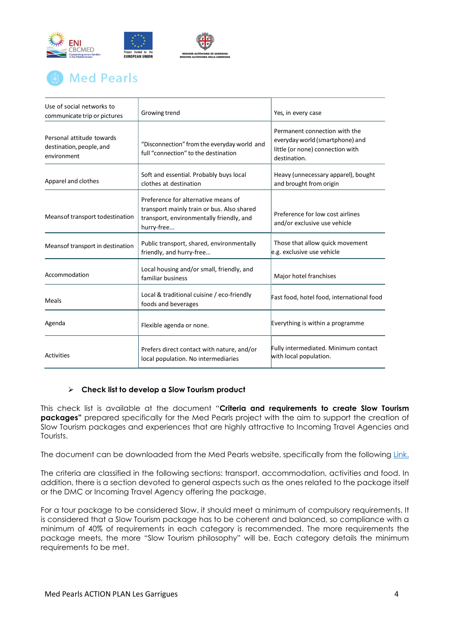

## **Med Pearls**

| Use of social networks to<br>communicate trip or pictures            | Growing trend                                                                                                                               | Yes, in every case                                                                                                   |
|----------------------------------------------------------------------|---------------------------------------------------------------------------------------------------------------------------------------------|----------------------------------------------------------------------------------------------------------------------|
| Personal attitude towards<br>destination, people, and<br>environment | "Disconnection" from the everyday world and<br>full "connection" to the destination                                                         | Permanent connection with the<br>everyday world (smartphone) and<br>little (or none) connection with<br>destination. |
| Apparel and clothes                                                  | Soft and essential. Probably buys local<br>clothes at destination                                                                           | Heavy (unnecessary apparel), bought<br>and brought from origin                                                       |
| Means of transport to destination                                    | Preference for alternative means of<br>transport mainly train or bus. Also shared<br>transport, environmentally friendly, and<br>hurry-free | Preference for low cost airlines<br>and/or exclusive use vehicle                                                     |
| Meansof transport in destination                                     | Public transport, shared, environmentally<br>friendly, and hurry-free                                                                       | Those that allow quick movement<br>e.g. exclusive use vehicle                                                        |
| Accommodation                                                        | Local housing and/or small, friendly, and<br>familiar business                                                                              | Major hotel franchises                                                                                               |
| <b>Meals</b>                                                         | Local & traditional cuisine / eco-friendly<br>foods and beverages                                                                           | Fast food, hotel food, international food                                                                            |
| Agenda                                                               | Flexible agenda or none.                                                                                                                    | Everything is within a programme                                                                                     |
| <b>Activities</b>                                                    | Prefers direct contact with nature, and/or<br>local population. No intermediaries                                                           | Fully intermediated. Minimum contact<br>with local population.                                                       |

### $\triangleright$  Check list to develop a Slow Tourism product

This check list is available at the document "Criteria and requirements to create Slow Tourism packages" prepared specifically for the Med Pearls project with the aim to support the creation of Slow Tourism packages and experiences that are highly attractive to Incoming Travel Agencies and Tourists.

The document can be downloaded from the Med Pearls website, specifically from the following Link.

The criteria are classified in the following sections: transport, accommodation, activities and food. In addition, there is a section devoted to general aspects such as the ones related to the package itself or the DMC or Incoming Travel Agency offering the package.

For a tour package to be considered Slow, it should meet a minimum of compulsory requirements. It is considered that a Slow Tourism package has to be coherent and balanced, so compliance with a minimum of 40% of requirements in each category is recommended. The more requirements the package meets, the more "Slow Tourism philosophy" will be. Each category details the minimum requirements to be met.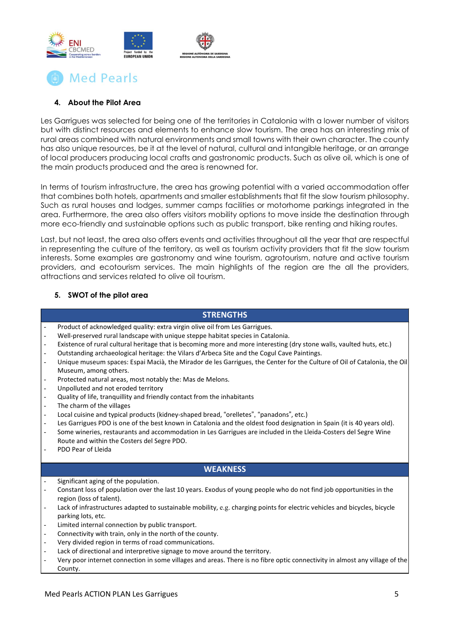



### 4. About the Pilot Area

Les Garrigues was selected for being one of the territories in Catalonia with a lower number of visitors but with distinct resources and elements to enhance slow tourism. The area has an interesting mix of rural areas combined with natural environments and small towns with their own character. The county has also unique resources, be it at the level of natural, cultural and intangible heritage, or an arrange of local producers producing local crafts and gastronomic products. Such as olive oil, which is one of the main products produced and the area is renowned for.

In terms of tourism infrastructure, the area has growing potential with a varied accommodation offer that combines both hotels, apartments and smaller establishments that fit the slow tourism philosophy. Such as rural houses and lodges, summer camps facilities or motorhome parkings integrated in the area. Furthermore, the area also offers visitors mobility options to move inside the destination through more eco-friendly and sustainable options such as public transport, bike renting and hiking routes.

Last, but not least, the area also offers events and activities throughout all the year that are respectful in representing the culture of the territory, as well as tourism activity providers that fit the slow tourism interests. Some examples are gastronomy and wine tourism, agrotourism, nature and active tourism providers, and ecotourism services. The main highlights of the region are the all the providers, attractions and services related to olive oil tourism.

### 5. SWOT of the pilot area

### **STRENGTHS**

- Product of acknowledged quality: extra virgin olive oil from Les Garrigues.
- Well-preserved rural landscape with unique steppe habitat species in Catalonia.
- Existence of rural cultural heritage that is becoming more and more interesting (dry stone walls, vaulted huts, etc.)
- Outstanding archaeological heritage: the Vilars d'Arbeca Site and the Cogul Cave Paintings.
- Unique museum spaces: Espai Macià, the Mirador de les Garrigues, the Center for the Culture of Oil of Catalonia, the Oil Museum, among others.
- Protected natural areas, most notably the: Mas de Melons.
- Unpolluted and not eroded territory
- Quality of life, tranquillity and friendly contact from the inhabitants
- The charm of the villages
- Local cuisine and typical products (kidney-shaped bread, "orelletes", "panadons", etc.)
- Les Garrigues PDO is one of the best known in Catalonia and the oldest food designation in Spain (it is 40 years old).
- Some wineries, restaurants and accommodation in Les Garrigues are included in the Lleida-Costers del Segre Wine Route and within the Costers del Segre PDO.
- PDO Pear of Lleida

### **WEAKNESS**

- Significant aging of the population.
- Constant loss of population over the last 10 years. Exodus of young people who do not find job opportunities in the region (loss of talent).
- Lack of infrastructures adapted to sustainable mobility, e.g. charging points for electric vehicles and bicycles, bicycle parking lots, etc.
- Limited internal connection by public transport.
- Connectivity with train, only in the north of the county.
- Very divided region in terms of road communications.
- Lack of directional and interpretive signage to move around the territory.
- Very poor internet connection in some villages and areas. There is no fibre optic connectivity in almost any village of the County.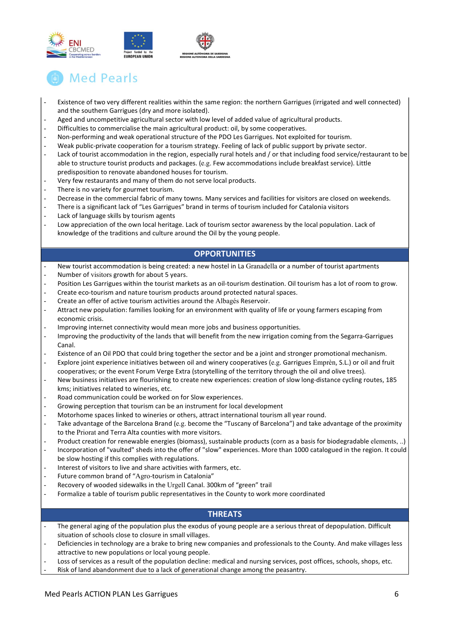

## **Med Pearls**

- Existence of two very different realities within the same region: the northern Garrigues (irrigated and well connected) and the southern Garrigues (dry and more isolated).
- Aged and uncompetitive agricultural sector with low level of added value of agricultural products.
- Difficulties to commercialise the main agricultural product: oil, by some cooperatives.
- Non-performing and weak operational structure of the PDO Les Garrigues. Not exploited for tourism.
- Weak public-private cooperation for a tourism strategy. Feeling of lack of public support by private sector.
- Lack of tourist accommodation in the region, especially rural hotels and / or that including food service/restaurant to be able to structure tourist products and packages. (e.g. Few accommodations include breakfast service). Little predisposition to renovate abandoned houses for tourism.
- Very few restaurants and many of them do not serve local products.
- There is no variety for gourmet tourism.
- Decrease in the commercial fabric of many towns. Many services and facilities for visitors are closed on weekends.
- There is a significant lack of "Les Garrigues" brand in terms of tourism included for Catalonia visitors
- Lack of language skills by tourism agents
- Low appreciation of the own local heritage. Lack of tourism sector awareness by the local population. Lack of knowledge of the traditions and culture around the Oil by the young people.

### **OPPORTUNITIES**

- New tourist accommodation is being created: a new hostel in La Granadella or a number of tourist apartments
- Number of visitors growth for about 5 years.
- Position Les Garrigues within the tourist markets as an oil-tourism destination. Oil tourism has a lot of room to grow.
- Create eco-tourism and nature tourism products around protected natural spaces.
- Create an offer of active tourism activities around the Albagés Reservoir.
- Attract new population: families looking for an environment with quality of life or young farmers escaping from economic crisis.
- Improving internet connectivity would mean more jobs and business opportunities.
- Improving the productivity of the lands that will benefit from the new irrigation coming from the Segarra-Garrigues Canal.
- Existence of an Oil PDO that could bring together the sector and be a joint and stronger promotional mechanism.
- Explore joint experience initiatives between oil and winery cooperatives (e.g. Garrigues Emprèn, S.L.) or oil and fruit cooperatives; or the event Forum Verge Extra (storytelling of the territory through the oil and olive trees).
- New business initiatives are flourishing to create new experiences: creation of slow long-distance cycling routes, 185 kms; initiatives related to wineries, etc.
- Road communication could be worked on for Slow experiences.
- Growing perception that tourism can be an instrument for local development
- Motorhome spaces linked to wineries or others, attract international tourism all year round.
- Take advantage of the Barcelona Brand (e.g. become the "Tuscany of Barcelona") and take advantage of the proximity to the Priorat and Terra Alta counties with more visitors.
- Product creation for renewable energies (biomass), sustainable products (corn as a basis for biodegradable elements, ..)
- Incorporation of "vaulted" sheds into the offer of "slow" experiences. More than 1000 catalogued in the region. It could be slow hosting if this complies with regulations.
- Interest of visitors to live and share activities with farmers, etc.
- Future common brand of "Agro-tourism in Catalonia"
- Recovery of wooded sidewalks in the Urgell Canal. 300km of "green" trail
- Formalize a table of tourism public representatives in the County to work more coordinated

### **THREATS**

- The general aging of the population plus the exodus of young people are a serious threat of depopulation. Difficult situation of schools close to closure in small villages.
- Deficiencies in technology are a brake to bring new companies and professionals to the County. And make villages less attractive to new populations or local young people.
- Loss of services as a result of the population decline: medical and nursing services, post offices, schools, shops, etc. Risk of land abandonment due to a lack of generational change among the peasantry.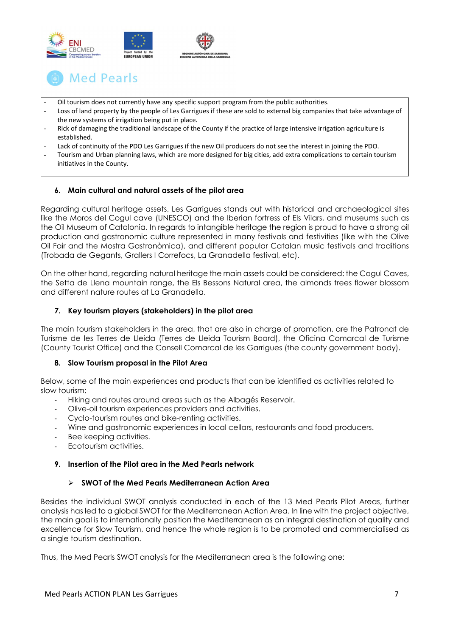



- Oil tourism does not currently have any specific support program from the public authorities.
- Loss of land property by the people of Les Garrigues if these are sold to external big companies that take advantage of the new systems of irrigation being put in place.
- Rick of damaging the traditional landscape of the County if the practice of large intensive irrigation agriculture is established.
- Lack of continuity of the PDO Les Garrigues if the new Oil producers do not see the interest in joining the PDO.
- Tourism and Urban planning laws, which are more designed for big cities, add extra complications to certain tourism initiatives in the County.

### 6. Main cultural and natural assets of the pilot area

Regarding cultural heritage assets, Les Garrigues stands out with historical and archaeological sites like the Moros del Cogul cave (UNESCO) and the Iberian fortress of Els Vilars, and museums such as the Oil Museum of Catalonia. In regards to intangible heritage the region is proud to have a strong oil production and gastronomic culture represented in many festivals and festivities (like with the Olive Oil Fair and the Mostra Gastronòmica), and different popular Catalan music festivals and traditions (Trobada de Gegants, Grallers I Correfocs, La Granadella festival, etc).

On the other hand, regarding natural heritage the main assets could be considered: the Cogul Caves, the Setta de Llena mountain range, the Els Bessons Natural area, the almonds trees flower blossom and different nature routes at La Granadella.

### 7. Key tourism players (stakeholders) in the pilot area

The main tourism stakeholders in the area, that are also in charge of promotion, are the Patronat de Turisme de les Terres de Lleida (Terres de Lleida Tourism Board), the Oficina Comarcal de Turisme (County Tourist Office) and the Consell Comarcal de les Garrigues (the county government body).

#### 8. Slow Tourism proposal in the Pilot Area

Below, some of the main experiences and products that can be identified as activities related to slow tourism:

- Hiking and routes around areas such as the Albagés Reservoir.
- Olive-oil tourism experiences providers and activities.
- Cyclo-tourism routes and bike-renting activities.
- Wine and gastronomic experiences in local cellars, restaurants and food producers.
- Bee keeping activities.
- Ecotourism activities.

#### 9. Insertion of the Pilot area in the Med Pearls network

### $\triangleright$  SWOT of the Med Pearls Mediterranean Action Area

Besides the individual SWOT analysis conducted in each of the 13 Med Pearls Pilot Areas, further analysis has led to a global SWOT for the Mediterranean Action Area. In line with the project objective, the main goal is to internationally position the Mediterranean as an integral destination of quality and excellence for Slow Tourism, and hence the whole region is to be promoted and commercialised as a single tourism destination.

Thus, the Med Pearls SWOT analysis for the Mediterranean area is the following one: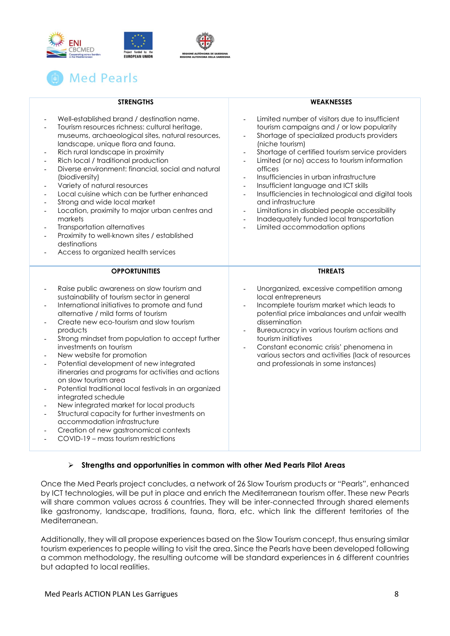



| <b>STRENGTHS</b>                                                                                                                                                                                                                                                                                                                                                                                                                                                                                                                                                                                                                                                                                                                                                                                                                                                                                                                                                                                                  | <b>WEAKNESSES</b>                                                                                                                                                                                                                                                                                                                                                                                                                                                                                                                                                                                                                                                                                                           |  |
|-------------------------------------------------------------------------------------------------------------------------------------------------------------------------------------------------------------------------------------------------------------------------------------------------------------------------------------------------------------------------------------------------------------------------------------------------------------------------------------------------------------------------------------------------------------------------------------------------------------------------------------------------------------------------------------------------------------------------------------------------------------------------------------------------------------------------------------------------------------------------------------------------------------------------------------------------------------------------------------------------------------------|-----------------------------------------------------------------------------------------------------------------------------------------------------------------------------------------------------------------------------------------------------------------------------------------------------------------------------------------------------------------------------------------------------------------------------------------------------------------------------------------------------------------------------------------------------------------------------------------------------------------------------------------------------------------------------------------------------------------------------|--|
| Well-established brand / destination name.<br>$\overline{\phantom{a}}$<br>Tourism resources richness: cultural heritage,<br>$\overline{a}$<br>museums, archaeological sites, natural resources,<br>landscape, unique flora and fauna.<br>Rich rural landscape in proximity<br>$\qquad \qquad \blacksquare$<br>Rich local / traditional production<br>$\overline{\phantom{a}}$<br>Diverse environment: financial, social and natural<br>$\overline{\phantom{a}}$<br>(biodiversity)<br>Variety of natural resources<br>$\overline{\phantom{0}}$<br>Local cuisine which can be further enhanced<br>$\qquad \qquad \blacksquare$<br>Strong and wide local market<br>$\overline{\phantom{a}}$<br>Location, proximity to major urban centres and<br>$\overline{\phantom{a}}$<br>markets<br><b>Transportation alternatives</b><br>$\overline{\phantom{a}}$<br>Proximity to well-known sites / established<br>$\overline{\phantom{a}}$<br>destinations<br>Access to organized health services<br>$\overline{\phantom{a}}$ | Limited number of visitors due to insufficient<br>tourism campaigns and / or low popularity<br>Shortage of specialized products providers<br>(niche tourism)<br>Shortage of certified tourism service providers<br>$\overline{\phantom{a}}$<br>Limited (or no) access to tourism information<br>offices<br>Insufficiencies in urban infrastructure<br>$\overline{\phantom{a}}$<br>Insufficient language and ICT skills<br>$\overline{\phantom{a}}$<br>Insufficiencies in technological and digital tools<br>$\blacksquare$<br>and infrastructure<br>Limitations in disabled people accessibility<br>$\overline{\phantom{a}}$<br>Inadequately funded local transportation<br>$\blacksquare$<br>Limited accommodation options |  |
| <b>OPPORTUNITIES</b>                                                                                                                                                                                                                                                                                                                                                                                                                                                                                                                                                                                                                                                                                                                                                                                                                                                                                                                                                                                              | <b>THREATS</b>                                                                                                                                                                                                                                                                                                                                                                                                                                                                                                                                                                                                                                                                                                              |  |
| Raise public awareness on slow tourism and<br>sustainability of tourism sector in general<br>International initiatives to promote and fund<br>$\qquad \qquad -$<br>alternative / mild forms of tourism<br>Create new eco-tourism and slow tourism<br>products<br>Strong mindset from population to accept further<br>$\overline{\phantom{a}}$<br>investments on tourism<br>New website for promotion<br>$\overline{\phantom{a}}$<br>Potential development of new integrated<br>$\overline{\phantom{a}}$<br>itineraries and programs for activities and actions<br>on slow tourism area<br>Potential traditional local festivals in an organized<br>integrated schedule<br>New integrated market for local products<br>$\overline{\phantom{a}}$<br>Structural capacity for further investments on<br>$\overline{\phantom{a}}$<br>accommodation infrastructure<br>Creation of new gastronomical contexts<br>$\overline{\phantom{a}}$<br>COVID-19 – mass tourism restrictions<br>$\qquad \qquad \blacksquare$        | Unorganized, excessive competition among<br>local entrepreneurs<br>Incomplete tourism market which leads to<br>$\overline{\phantom{a}}$<br>potential price imbalances and unfair wealth<br>dissemination<br>Bureaucracy in various tourism actions and<br>$\overline{\phantom{a}}$<br>tourism initiatives<br>Constant economic crisis' phenomena in<br>$\overline{\phantom{a}}$<br>various sectors and activities (lack of resources<br>and professionals in some instances)                                                                                                                                                                                                                                                |  |

### $\triangleright$  Strengths and opportunities in common with other Med Pearls Pilot Areas

Once the Med Pearls project concludes, a network of 26 Slow Tourism products or "Pearls", enhanced by ICT technologies, will be put in place and enrich the Mediterranean tourism offer. These new Pearls will share common values across 6 countries. They will be inter-connected through shared elements like gastronomy, landscape, traditions, fauna, flora, etc. which link the different territories of the Mediterranean.

Additionally, they will all propose experiences based on the Slow Tourism concept, thus ensuring similar tourism experiences to people willing to visit the area. Since the Pearls have been developed following a common methodology, the resulting outcome will be standard experiences in 6 different countries but adapted to local realities.